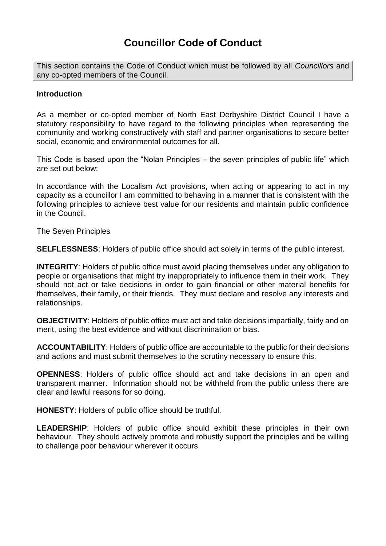# **Councillor Code of Conduct**

This section contains the Code of Conduct which must be followed by all *Councillors* and any co-opted members of the Council.

#### **Introduction**

As a member or co-opted member of North East Derbyshire District Council I have a statutory responsibility to have regard to the following principles when representing the community and working constructively with staff and partner organisations to secure better social, economic and environmental outcomes for all.

This Code is based upon the "Nolan Principles – the seven principles of public life" which are set out below:

In accordance with the Localism Act provisions, when acting or appearing to act in my capacity as a councillor I am committed to behaving in a manner that is consistent with the following principles to achieve best value for our residents and maintain public confidence in the Council.

The Seven Principles

**SELFLESSNESS**: Holders of public office should act solely in terms of the public interest.

**INTEGRITY**: Holders of public office must avoid placing themselves under any obligation to people or organisations that might try inappropriately to influence them in their work. They should not act or take decisions in order to gain financial or other material benefits for themselves, their family, or their friends. They must declare and resolve any interests and relationships.

**OBJECTIVITY**: Holders of public office must act and take decisions impartially, fairly and on merit, using the best evidence and without discrimination or bias.

**ACCOUNTABILITY**: Holders of public office are accountable to the public for their decisions and actions and must submit themselves to the scrutiny necessary to ensure this.

**OPENNESS**: Holders of public office should act and take decisions in an open and transparent manner. Information should not be withheld from the public unless there are clear and lawful reasons for so doing.

**HONESTY**: Holders of public office should be truthful.

**LEADERSHIP**: Holders of public office should exhibit these principles in their own behaviour. They should actively promote and robustly support the principles and be willing to challenge poor behaviour wherever it occurs.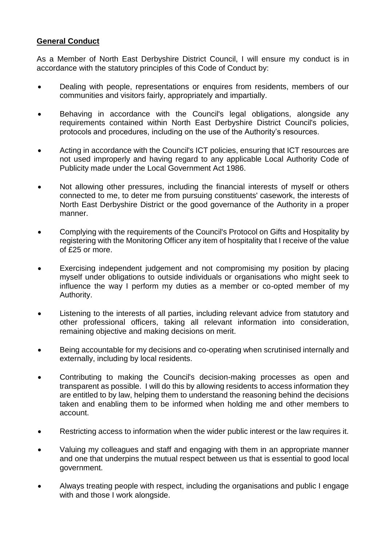## **General Conduct**

As a Member of North East Derbyshire District Council, I will ensure my conduct is in accordance with the statutory principles of this Code of Conduct by:

- Dealing with people, representations or enquires from residents, members of our communities and visitors fairly, appropriately and impartially.
- Behaving in accordance with the Council's legal obligations, alongside any requirements contained within North East Derbyshire District Council's policies, protocols and procedures, including on the use of the Authority's resources.
- Acting in accordance with the Council's ICT policies, ensuring that ICT resources are not used improperly and having regard to any applicable Local Authority Code of Publicity made under the Local Government Act 1986.
- Not allowing other pressures, including the financial interests of myself or others connected to me, to deter me from pursuing constituents' casework, the interests of North East Derbyshire District or the good governance of the Authority in a proper manner.
- Complying with the requirements of the Council's Protocol on Gifts and Hospitality by registering with the Monitoring Officer any item of hospitality that I receive of the value of £25 or more.
- Exercising independent judgement and not compromising my position by placing myself under obligations to outside individuals or organisations who might seek to influence the way I perform my duties as a member or co-opted member of my Authority.
- Listening to the interests of all parties, including relevant advice from statutory and other professional officers, taking all relevant information into consideration, remaining objective and making decisions on merit.
- Being accountable for my decisions and co-operating when scrutinised internally and externally, including by local residents.
- Contributing to making the Council's decision-making processes as open and transparent as possible. I will do this by allowing residents to access information they are entitled to by law, helping them to understand the reasoning behind the decisions taken and enabling them to be informed when holding me and other members to account.
- Restricting access to information when the wider public interest or the law requires it.
- Valuing my colleagues and staff and engaging with them in an appropriate manner and one that underpins the mutual respect between us that is essential to good local government.
- Always treating people with respect, including the organisations and public I engage with and those I work alongside.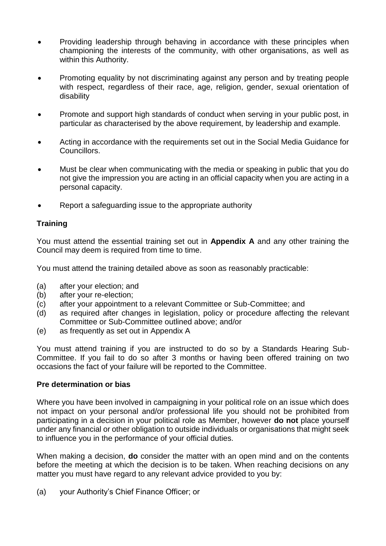- Providing leadership through behaving in accordance with these principles when championing the interests of the community, with other organisations, as well as within this Authority.
- Promoting equality by not discriminating against any person and by treating people with respect, regardless of their race, age, religion, gender, sexual orientation of disability
- Promote and support high standards of conduct when serving in your public post, in particular as characterised by the above requirement, by leadership and example.
- Acting in accordance with the requirements set out in the Social Media Guidance for Councillors.
- Must be clear when communicating with the media or speaking in public that you do not give the impression you are acting in an official capacity when you are acting in a personal capacity.
- Report a safeguarding issue to the appropriate authority

## **Training**

You must attend the essential training set out in **Appendix A** and any other training the Council may deem is required from time to time.

You must attend the training detailed above as soon as reasonably practicable:

- (a) after your election; and
- (b) after your re-election;
- (c) after your appointment to a relevant Committee or Sub-Committee; and
- (d) as required after changes in legislation, policy or procedure affecting the relevant Committee or Sub-Committee outlined above; and/or
- (e) as frequently as set out in Appendix A

You must attend training if you are instructed to do so by a Standards Hearing Sub-Committee. If you fail to do so after 3 months or having been offered training on two occasions the fact of your failure will be reported to the Committee.

### **Pre determination or bias**

Where you have been involved in campaigning in your political role on an issue which does not impact on your personal and/or professional life you should not be prohibited from participating in a decision in your political role as Member, however **do not** place yourself under any financial or other obligation to outside individuals or organisations that might seek to influence you in the performance of your official duties.

When making a decision, **do** consider the matter with an open mind and on the contents before the meeting at which the decision is to be taken. When reaching decisions on any matter you must have regard to any relevant advice provided to you by:

(a) your Authority's Chief Finance Officer; or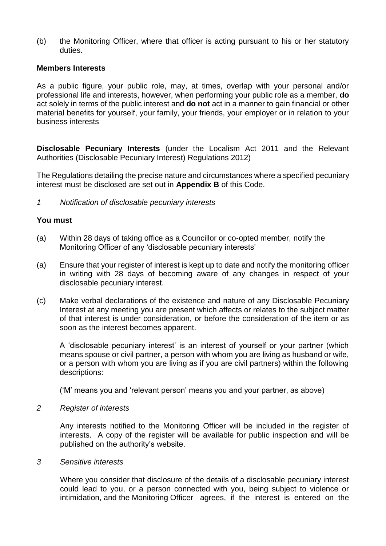(b) the Monitoring Officer, where that officer is acting pursuant to his or her statutory duties.

#### **Members Interests**

As a public figure, your public role, may, at times, overlap with your personal and/or professional life and interests, however, when performing your public role as a member, **do**  act solely in terms of the public interest and **do not** act in a manner to gain financial or other material benefits for yourself, your family, your friends, your employer or in relation to your business interests

**Disclosable Pecuniary Interests** (under the Localism Act 2011 and the Relevant Authorities (Disclosable Pecuniary Interest) Regulations 2012)

The Regulations detailing the precise nature and circumstances where a specified pecuniary interest must be disclosed are set out in **Appendix B** of this Code.

*1 Notification of disclosable pecuniary interests*

#### **You must**

- (a) Within 28 days of taking office as a Councillor or co-opted member, notify the Monitoring Officer of any 'disclosable pecuniary interests'
- (a) Ensure that your register of interest is kept up to date and notify the monitoring officer in writing with 28 days of becoming aware of any changes in respect of your disclosable pecuniary interest.
- (c) Make verbal declarations of the existence and nature of any Disclosable Pecuniary Interest at any meeting you are present which affects or relates to the subject matter of that interest is under consideration, or before the consideration of the item or as soon as the interest becomes apparent.

A 'disclosable pecuniary interest' is an interest of yourself or your partner (which means spouse or civil partner, a person with whom you are living as husband or wife, or a person with whom you are living as if you are civil partners) within the following descriptions:

('M' means you and 'relevant person' means you and your partner, as above)

#### *2 Register of interests*

Any interests notified to the Monitoring Officer will be included in the register of interests. A copy of the register will be available for public inspection and will be published on the authority's website.

#### *3 Sensitive interests*

Where you consider that disclosure of the details of a disclosable pecuniary interest could lead to you, or a person connected with you, being subject to violence or intimidation, and the Monitoring Officer agrees, if the interest is entered on the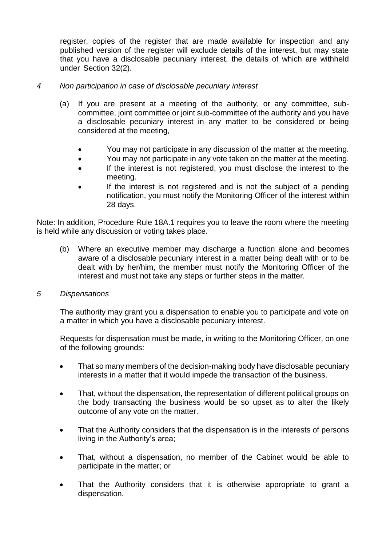register, copies of the register that are made available for inspection and any published version of the register will exclude details of the interest, but may state that you have a disclosable pecuniary interest, the details of which are withheld under Section 32(2).

### *4 Non participation in case of disclosable pecuniary interest*

- (a) If you are present at a meeting of the authority, or any committee, subcommittee, joint committee or joint sub-committee of the authority and you have a disclosable pecuniary interest in any matter to be considered or being considered at the meeting,
	- You may not participate in any discussion of the matter at the meeting.
	- You may not participate in any vote taken on the matter at the meeting.
	- If the interest is not registered, you must disclose the interest to the meeting.
	- If the interest is not registered and is not the subject of a pending notification, you must notify the Monitoring Officer of the interest within 28 days.

Note: In addition, Procedure Rule 18A.1 requires you to leave the room where the meeting is held while any discussion or voting takes place.

(b) Where an executive member may discharge a function alone and becomes aware of a disclosable pecuniary interest in a matter being dealt with or to be dealt with by her/him, the member must notify the Monitoring Officer of the interest and must not take any steps or further steps in the matter.

#### *5 Dispensations*

The authority may grant you a dispensation to enable you to participate and vote on a matter in which you have a disclosable pecuniary interest.

Requests for dispensation must be made, in writing to the Monitoring Officer, on one of the following grounds:

- That so many members of the decision-making body have disclosable pecuniary interests in a matter that it would impede the transaction of the business.
- That, without the dispensation, the representation of different political groups on the body transacting the business would be so upset as to alter the likely outcome of any vote on the matter.
- That the Authority considers that the dispensation is in the interests of persons living in the Authority's area;
- That, without a dispensation, no member of the Cabinet would be able to participate in the matter; or
- That the Authority considers that it is otherwise appropriate to grant a dispensation.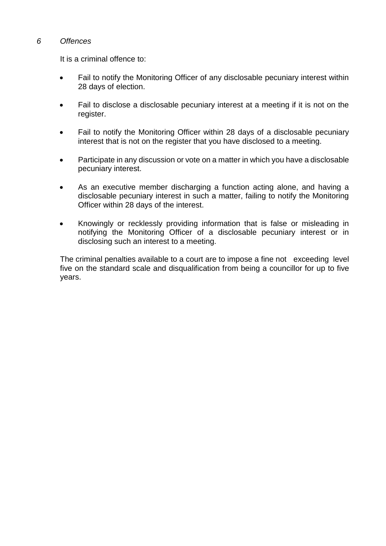### *6 Offences*

It is a criminal offence to:

- Fail to notify the Monitoring Officer of any disclosable pecuniary interest within 28 days of election.
- Fail to disclose a disclosable pecuniary interest at a meeting if it is not on the register.
- Fail to notify the Monitoring Officer within 28 days of a disclosable pecuniary interest that is not on the register that you have disclosed to a meeting.
- Participate in any discussion or vote on a matter in which you have a disclosable pecuniary interest.
- As an executive member discharging a function acting alone, and having a disclosable pecuniary interest in such a matter, failing to notify the Monitoring Officer within 28 days of the interest.
- Knowingly or recklessly providing information that is false or misleading in notifying the Monitoring Officer of a disclosable pecuniary interest or in disclosing such an interest to a meeting.

The criminal penalties available to a court are to impose a fine not exceeding level five on the standard scale and disqualification from being a councillor for up to five years.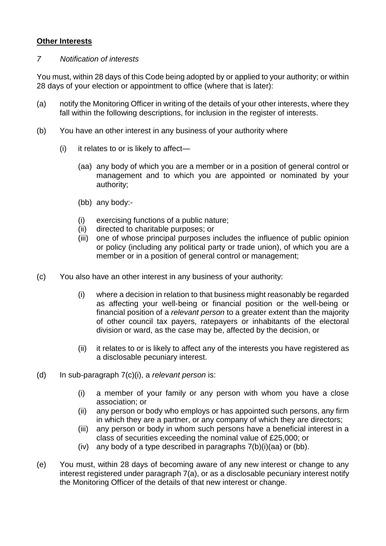## **Other Interests**

### *7 Notification of interests*

You must, within 28 days of this Code being adopted by or applied to your authority; or within 28 days of your election or appointment to office (where that is later):

- (a) notify the Monitoring Officer in writing of the details of your other interests, where they fall within the following descriptions, for inclusion in the register of interests.
- (b) You have an other interest in any business of your authority where
	- $(i)$  it relates to or is likely to affect—
		- (aa) any body of which you are a member or in a position of general control or management and to which you are appointed or nominated by your authority;
		- (bb) any body:-
		- (i) exercising functions of a public nature;
		- (ii) directed to charitable purposes; or
		- (iii) one of whose principal purposes includes the influence of public opinion or policy (including any political party or trade union), of which you are a member or in a position of general control or management;
- (c) You also have an other interest in any business of your authority:
	- (i) where a decision in relation to that business might reasonably be regarded as affecting your well-being or financial position or the well-being or financial position of a *relevant person* to a greater extent than the majority of other council tax payers, ratepayers or inhabitants of the electoral division or ward, as the case may be, affected by the decision, or
	- (ii) it relates to or is likely to affect any of the interests you have registered as a disclosable pecuniary interest.
- (d) In sub-paragraph 7(c)(i), a *relevant person* is:
	- (i) a member of your family or any person with whom you have a close association; or
	- (ii) any person or body who employs or has appointed such persons, any firm in which they are a partner, or any company of which they are directors;
	- (iii) any person or body in whom such persons have a beneficial interest in a class of securities exceeding the nominal value of £25,000; or
	- (iv) any body of a type described in paragraphs 7(b)(i)(aa) or (bb).
- (e) You must, within 28 days of becoming aware of any new interest or change to any interest registered under paragraph 7(a), or as a disclosable pecuniary interest notify the Monitoring Officer of the details of that new interest or change.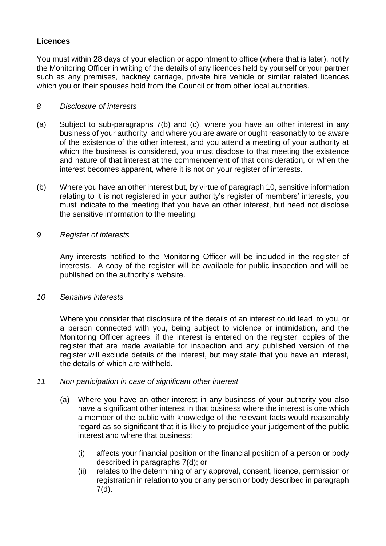## **Licences**

You must within 28 days of your election or appointment to office (where that is later), notify the Monitoring Officer in writing of the details of any licences held by yourself or your partner such as any premises, hackney carriage, private hire vehicle or similar related licences which you or their spouses hold from the Council or from other local authorities.

## *8 Disclosure of interests*

- (a) Subject to sub-paragraphs 7(b) and (c), where you have an other interest in any business of your authority, and where you are aware or ought reasonably to be aware of the existence of the other interest, and you attend a meeting of your authority at which the business is considered, you must disclose to that meeting the existence and nature of that interest at the commencement of that consideration, or when the interest becomes apparent, where it is not on your register of interests.
- (b) Where you have an other interest but, by virtue of paragraph 10, sensitive information relating to it is not registered in your authority's register of members' interests, you must indicate to the meeting that you have an other interest, but need not disclose the sensitive information to the meeting.

## *9 Register of interests*

Any interests notified to the Monitoring Officer will be included in the register of interests. A copy of the register will be available for public inspection and will be published on the authority's website.

### *10 Sensitive interests*

Where you consider that disclosure of the details of an interest could lead to you, or a person connected with you, being subject to violence or intimidation, and the Monitoring Officer agrees, if the interest is entered on the register, copies of the register that are made available for inspection and any published version of the register will exclude details of the interest, but may state that you have an interest, the details of which are withheld.

### *11 Non participation in case of significant other interest*

- (a) Where you have an other interest in any business of your authority you also have a significant other interest in that business where the interest is one which a member of the public with knowledge of the relevant facts would reasonably regard as so significant that it is likely to prejudice your judgement of the public interest and where that business:
	- (i) affects your financial position or the financial position of a person or body described in paragraphs 7(d); or
	- (ii) relates to the determining of any approval, consent, licence, permission or registration in relation to you or any person or body described in paragraph 7(d).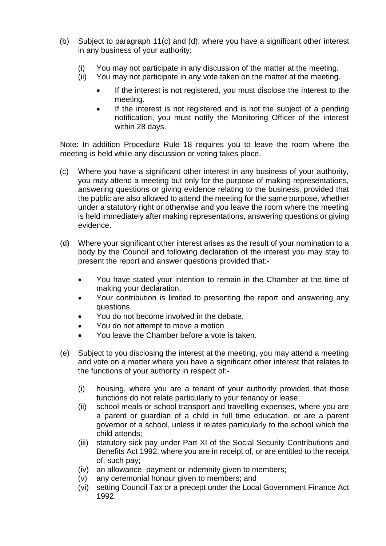- (b) Subject to paragraph 11(c) and (d), where you have a significant other interest in any business of your authority:
	- (i) You may not participate in any discussion of the matter at the meeting.
	- (ii) You may not participate in any vote taken on the matter at the meeting.
		- If the interest is not registered, you must disclose the interest to the meeting.
		- If the interest is not registered and is not the subject of a pending notification, you must notify the Monitoring Officer of the interest within 28 days.

Note: In addition Procedure Rule 18 requires you to leave the room where the meeting is held while any discussion or voting takes place.

- (c) Where you have a significant other interest in any business of your authority, you may attend a meeting but only for the purpose of making representations, answering questions or giving evidence relating to the business, provided that the public are also allowed to attend the meeting for the same purpose, whether under a statutory right or otherwise and you leave the room where the meeting is held immediately after making representations, answering questions or giving evidence.
- (d) Where your significant other interest arises as the result of your nomination to a body by the Council and following declaration of the interest you may stay to present the report and answer questions provided that:-
	- You have stated your intention to remain in the Chamber at the time of making your declaration.
	- Your contribution is limited to presenting the report and answering any questions.
	- You do not become involved in the debate.
	- You do not attempt to move a motion
	- You leave the Chamber before a vote is taken.
- (e) Subject to you disclosing the interest at the meeting, you may attend a meeting and vote on a matter where you have a significant other interest that relates to the functions of your authority in respect of:-
	- (i) housing, where you are a tenant of your authority provided that those functions do not relate particularly to your tenancy or lease;
	- (ii) school meals or school transport and travelling expenses, where you are a parent or guardian of a child in full time education, or are a parent governor of a school, unless it relates particularly to the school which the child attends;
	- (iii) statutory sick pay under Part XI of the Social Security Contributions and Benefits Act 1992, where you are in receipt of, or are entitled to the receipt of, such pay;
	- (iv) an allowance, payment or indemnity given to members;
	- (v) any ceremonial honour given to members; and
	- (vi) setting Council Tax or a precept under the Local Government Finance Act 1992.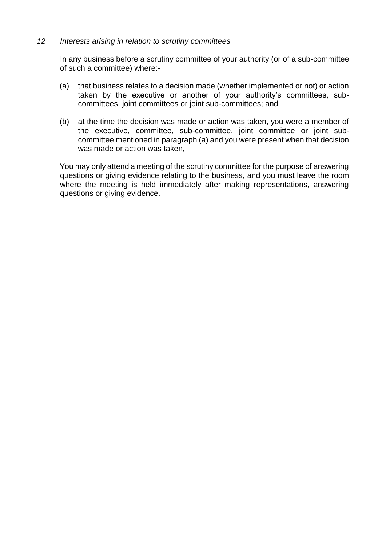#### *12 Interests arising in relation to scrutiny committees*

In any business before a scrutiny committee of your authority (or of a sub-committee of such a committee) where:-

- (a) that business relates to a decision made (whether implemented or not) or action taken by the executive or another of your authority's committees, subcommittees, joint committees or joint sub-committees; and
- (b) at the time the decision was made or action was taken, you were a member of the executive, committee, sub-committee, joint committee or joint subcommittee mentioned in paragraph (a) and you were present when that decision was made or action was taken,

You may only attend a meeting of the scrutiny committee for the purpose of answering questions or giving evidence relating to the business, and you must leave the room where the meeting is held immediately after making representations, answering questions or giving evidence.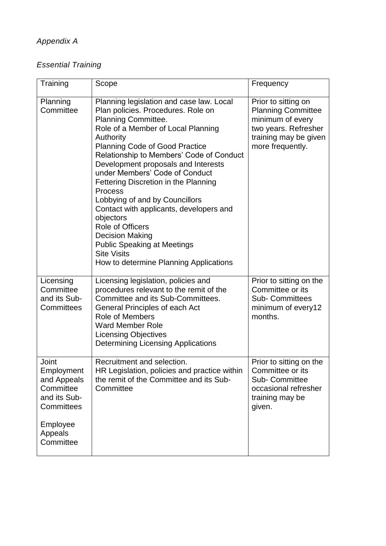# *Essential Training*

| Training                                                                                                          | Scope                                                                                                                                                                                                                                                                                                                                                                                                                                                                                                                                                                                                                          | Frequency                                                                                                                                 |
|-------------------------------------------------------------------------------------------------------------------|--------------------------------------------------------------------------------------------------------------------------------------------------------------------------------------------------------------------------------------------------------------------------------------------------------------------------------------------------------------------------------------------------------------------------------------------------------------------------------------------------------------------------------------------------------------------------------------------------------------------------------|-------------------------------------------------------------------------------------------------------------------------------------------|
| Planning<br>Committee                                                                                             | Planning legislation and case law. Local<br>Plan policies. Procedures. Role on<br>Planning Committee.<br>Role of a Member of Local Planning<br>Authority<br><b>Planning Code of Good Practice</b><br>Relationship to Members' Code of Conduct<br>Development proposals and Interests<br>under Members' Code of Conduct<br>Fettering Discretion in the Planning<br><b>Process</b><br>Lobbying of and by Councillors<br>Contact with applicants, developers and<br>objectors<br>Role of Officers<br><b>Decision Making</b><br><b>Public Speaking at Meetings</b><br><b>Site Visits</b><br>How to determine Planning Applications | Prior to sitting on<br><b>Planning Committee</b><br>minimum of every<br>two years. Refresher<br>training may be given<br>more frequently. |
| Licensing<br>Committee<br>and its Sub-<br>Committees                                                              | Licensing legislation, policies and<br>procedures relevant to the remit of the<br>Committee and its Sub-Committees.<br>General Principles of each Act<br><b>Role of Members</b><br><b>Ward Member Role</b><br><b>Licensing Objectives</b><br><b>Determining Licensing Applications</b>                                                                                                                                                                                                                                                                                                                                         | Prior to sitting on the<br>Committee or its<br><b>Sub- Committees</b><br>minimum of every12<br>months.                                    |
| Joint<br>Employment<br>and Appeals<br>Committee<br>and its Sub-<br>Committees<br>Employee<br>Appeals<br>Committee | Recruitment and selection.<br>HR Legislation, policies and practice within<br>the remit of the Committee and its Sub-<br>Committee                                                                                                                                                                                                                                                                                                                                                                                                                                                                                             | Prior to sitting on the<br>Committee or its<br><b>Sub-Committee</b><br>occasional refresher<br>training may be<br>given.                  |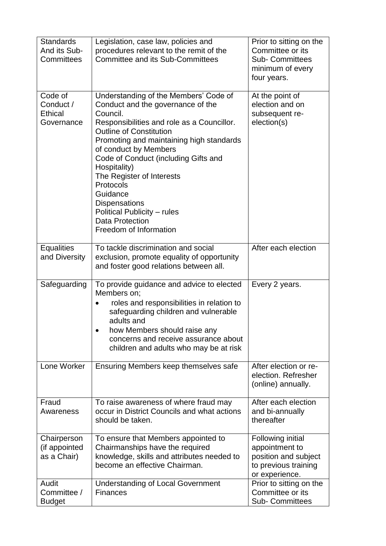| <b>Standards</b><br>And its Sub-<br>Committees       | Legislation, case law, policies and<br>procedures relevant to the remit of the<br><b>Committee and its Sub-Committees</b>                                                                                                                                                                                                                                                                                                                                            | Prior to sitting on the<br>Committee or its<br><b>Sub- Committees</b><br>minimum of every<br>four years. |
|------------------------------------------------------|----------------------------------------------------------------------------------------------------------------------------------------------------------------------------------------------------------------------------------------------------------------------------------------------------------------------------------------------------------------------------------------------------------------------------------------------------------------------|----------------------------------------------------------------------------------------------------------|
| Code of<br>Conduct /<br><b>Ethical</b><br>Governance | Understanding of the Members' Code of<br>Conduct and the governance of the<br>Council.<br>Responsibilities and role as a Councillor.<br><b>Outline of Constitution</b><br>Promoting and maintaining high standards<br>of conduct by Members<br>Code of Conduct (including Gifts and<br>Hospitality)<br>The Register of Interests<br>Protocols<br>Guidance<br><b>Dispensations</b><br>Political Publicity – rules<br><b>Data Protection</b><br>Freedom of Information | At the point of<br>election and on<br>subsequent re-<br>election(s)                                      |
| <b>Equalities</b><br>and Diversity                   | To tackle discrimination and social<br>exclusion, promote equality of opportunity<br>and foster good relations between all.                                                                                                                                                                                                                                                                                                                                          | After each election                                                                                      |
| Safeguarding                                         | To provide guidance and advice to elected<br>Members on;<br>roles and responsibilities in relation to<br>safeguarding children and vulnerable<br>adults and<br>how Members should raise any<br>$\bullet$<br>concerns and receive assurance about<br>children and adults who may be at risk                                                                                                                                                                           | Every 2 years.                                                                                           |
| Lone Worker                                          | Ensuring Members keep themselves safe                                                                                                                                                                                                                                                                                                                                                                                                                                | After election or re-<br>election. Refresher<br>(online) annually.                                       |
| Fraud<br>Awareness                                   | To raise awareness of where fraud may<br>occur in District Councils and what actions<br>should be taken.                                                                                                                                                                                                                                                                                                                                                             | After each election<br>and bi-annually<br>thereafter                                                     |
| Chairperson<br>(if appointed<br>as a Chair)          | To ensure that Members appointed to<br>Chairmanships have the required<br>knowledge, skills and attributes needed to<br>become an effective Chairman.                                                                                                                                                                                                                                                                                                                | Following initial<br>appointment to<br>position and subject<br>to previous training<br>or experience.    |
| Audit<br>Committee /<br><b>Budget</b>                | <b>Understanding of Local Government</b><br><b>Finances</b>                                                                                                                                                                                                                                                                                                                                                                                                          | Prior to sitting on the<br>Committee or its<br><b>Sub- Committees</b>                                    |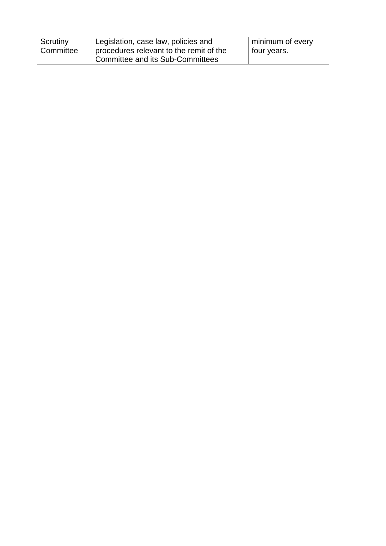| Scrutiny  | Legislation, case law, policies and     | minimum of every |
|-----------|-----------------------------------------|------------------|
| Committee | procedures relevant to the remit of the | four years.      |
|           | Committee and its Sub-Committees        |                  |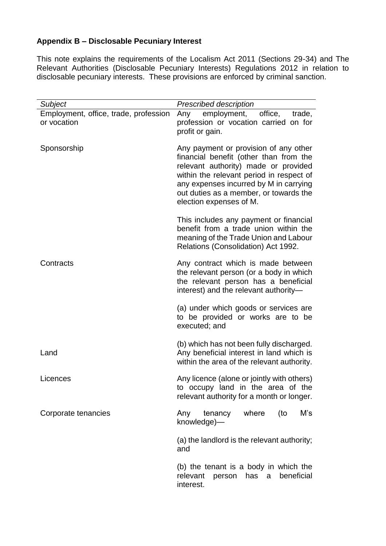# **Appendix B – Disclosable Pecuniary Interest**

This note explains the requirements of the Localism Act 2011 (Sections 29-34) and The Relevant Authorities (Disclosable Pecuniary Interests) Regulations 2012 in relation to disclosable pecuniary interests. These provisions are enforced by criminal sanction.

| Subject                                              | <b>Prescribed description</b>                                                                                                                                                                                                                                                      |  |
|------------------------------------------------------|------------------------------------------------------------------------------------------------------------------------------------------------------------------------------------------------------------------------------------------------------------------------------------|--|
| Employment, office, trade, profession<br>or vocation | employment, office,<br>Any<br>trade,<br>profession or vocation carried on for<br>profit or gain.                                                                                                                                                                                   |  |
| Sponsorship                                          | Any payment or provision of any other<br>financial benefit (other than from the<br>relevant authority) made or provided<br>within the relevant period in respect of<br>any expenses incurred by M in carrying<br>out duties as a member, or towards the<br>election expenses of M. |  |
|                                                      | This includes any payment or financial<br>benefit from a trade union within the<br>meaning of the Trade Union and Labour<br>Relations (Consolidation) Act 1992.                                                                                                                    |  |
| Contracts                                            | Any contract which is made between<br>the relevant person (or a body in which<br>the relevant person has a beneficial<br>interest) and the relevant authority-                                                                                                                     |  |
|                                                      | (a) under which goods or services are<br>to be provided or works are to be<br>executed; and                                                                                                                                                                                        |  |
| Land                                                 | (b) which has not been fully discharged.<br>Any beneficial interest in land which is<br>within the area of the relevant authority.                                                                                                                                                 |  |
| Licences                                             | Any licence (alone or jointly with others)<br>to occupy land in the area of the<br>relevant authority for a month or longer.                                                                                                                                                       |  |
| Corporate tenancies                                  | tenancy where<br>(to<br>M's<br>Any<br>knowledge)-                                                                                                                                                                                                                                  |  |
|                                                      | (a) the landlord is the relevant authority;<br>and                                                                                                                                                                                                                                 |  |
|                                                      | (b) the tenant is a body in which the<br>beneficial<br>relevant<br>has a<br>person<br>interest.                                                                                                                                                                                    |  |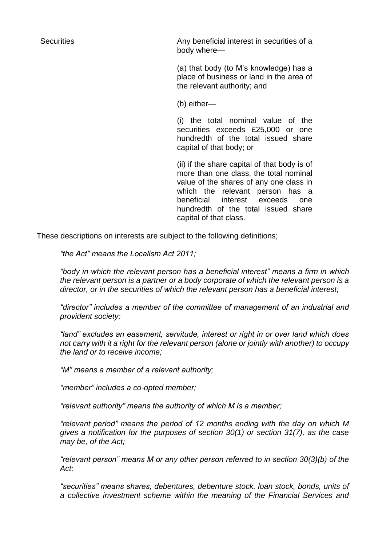Securities **Securities** Any beneficial interest in securities of a body where—

> (a) that body (to M's knowledge) has a place of business or land in the area of the relevant authority; and

(b) either—

(i) the total nominal value of the securities exceeds £25,000 or one hundredth of the total issued share capital of that body; or

(ii) if the share capital of that body is of more than one class, the total nominal value of the shares of any one class in which the relevant person has a beneficial interest exceeds one hundredth of the total issued share capital of that class.

These descriptions on interests are subject to the following definitions;

*"the Act" means the Localism Act 2011;*

*"body in which the relevant person has a beneficial interest" means a firm in which the relevant person is a partner or a body corporate of which the relevant person is a director, or in the securities of which the relevant person has a beneficial interest;*

*"director" includes a member of the committee of management of an industrial and provident society;*

*"land" excludes an easement, servitude, interest or right in or over land which does not carry with it a right for the relevant person (alone or jointly with another) to occupy the land or to receive income;*

*"M" means a member of a relevant authority;*

*"member" includes a co-opted member;*

*"relevant authority" means the authority of which M is a member;*

*"relevant period" means the period of 12 months ending with the day on which M gives a notification for the purposes of section 30(1) or section 31(7), as the case may be, of the Act;*

*"relevant person" means M or any other person referred to in section 30(3)(b) of the Act;*

*"securities" means shares, debentures, debenture stock, loan stock, bonds, units of a collective investment scheme within the meaning of the Financial Services and*